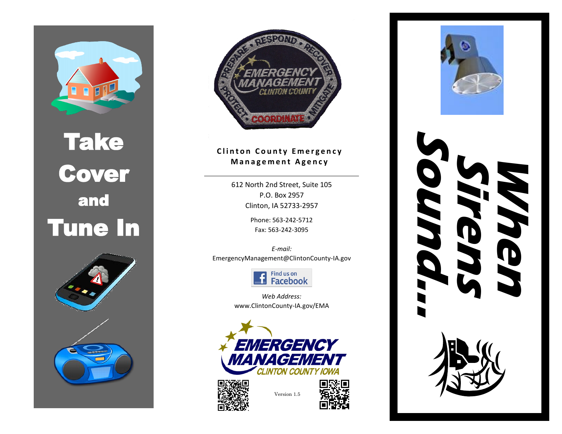

## Take Cover and Tune In







### **Clinton County Emergency M a n a g e m e n t A g e n c y**

612 North 2nd Street, Suite 105 P.O. Box 2957 Clinton, IA 52733-2957

> Phone: 563-242-5712 Fax: 563-242-3095

*E-mail:*  EmergencyManagement@ClintonCounty-IA.gov



*Web Address:* www.ClintonCounty-IA.gov/EMA





Version 1.5